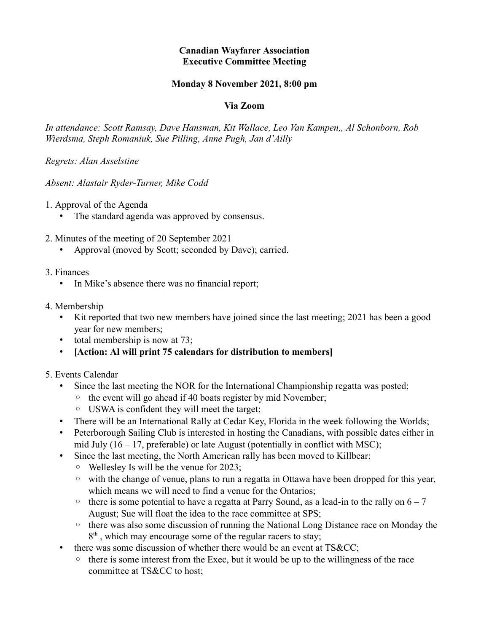## **Canadian Wayfarer Association Executive Committee Meeting**

## **Monday 8 November 2021, 8:00 pm**

## **Via Zoom**

*In attendance: Scott Ramsay, Dave Hansman, Kit Wallace, Leo Van Kampen,, Al Schonborn, Rob Wierdsma, Steph Romaniuk, Sue Pilling, Anne Pugh, Jan d'Ailly*

*Regrets: Alan Asselstine*

*Absent: Alastair Ryder-Turner, Mike Codd*

1. Approval of the Agenda

- The standard agenda was approved by consensus.
- 2. Minutes of the meeting of 20 September 2021
	- Approval (moved by Scott; seconded by Dave); carried.
- 3. Finances
	- In Mike's absence there was no financial report;
- 4. Membership
	- Kit reported that two new members have joined since the last meeting; 2021 has been a good year for new members;
	- total membership is now at 73;
	- **[Action: Al will print 75 calendars for distribution to members]**
- 5. Events Calendar
	- Since the last meeting the NOR for the International Championship regatta was posted;
		- the event will go ahead if 40 boats register by mid November;
		- USWA is confident they will meet the target;
	- There will be an International Rally at Cedar Key, Florida in the week following the Worlds;
	- Peterborough Sailing Club is interested in hosting the Canadians, with possible dates either in mid July  $(16 - 17)$ , preferable) or late August (potentially in conflict with MSC);
	- Since the last meeting, the North American rally has been moved to Killbear;
		- Wellesley Is will be the venue for 2023;
		- with the change of venue, plans to run a regatta in Ottawa have been dropped for this year, which means we will need to find a venue for the Ontarios;
		- $\circ$  there is some potential to have a regatta at Parry Sound, as a lead-in to the rally on  $6 7$ August; Sue will float the idea to the race committee at SPS;
		- there was also some discussion of running the National Long Distance race on Monday the 8<sup>th</sup>, which may encourage some of the regular racers to stay;
	- there was some discussion of whether there would be an event at TS&CC;
		- there is some interest from the Exec, but it would be up to the willingness of the race committee at TS&CC to host;